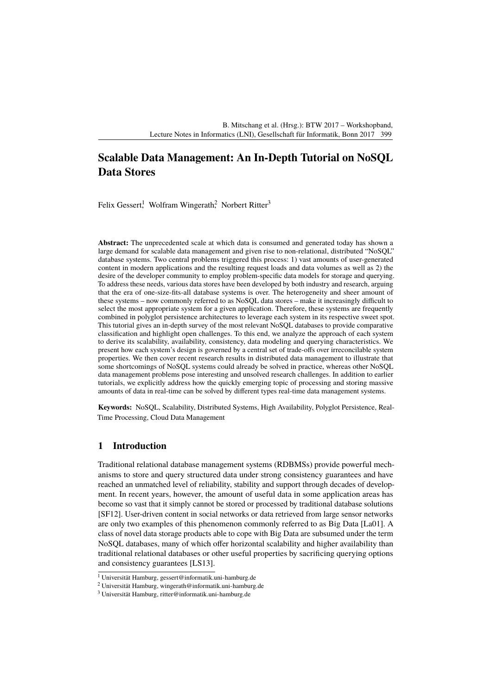# **Scalable Data Management: An In-Depth Tutorial on NoSQL Data Stores**

Felix Gessert! Wolfram Wingerath? Norbert Ritter<sup>3</sup>

**Abstract:** The unprecedented scale at which data is consumed and generated today has shown a large demand for scalable data management and given rise to non-relational, distributed "NoSQL" database systems. Two central problems triggered this process: 1) vast amounts of user-generated content in modern applications and the resulting request loads and data volumes as well as 2) the desire of the developer community to employ problem-specific data models for storage and querying. To address these needs, various data stores have been developed by both industry and research, arguing that the era of one-size-fits-all database systems is over. The heterogeneity and sheer amount of these systems – now commonly referred to as NoSQL data stores – make it increasingly difficult to select the most appropriate system for a given application. Therefore, these systems are frequently combined in polyglot persistence architectures to leverage each system in its respective sweet spot. This tutorial gives an in-depth survey of the most relevant NoSQL databases to provide comparative classification and highlight open challenges. To this end, we analyze the approach of each system to derive its scalability, availability, consistency, data modeling and querying characteristics. We present how each system's design is governed by a central set of trade-offs over irreconcilable system properties. We then cover recent research results in distributed data management to illustrate that some shortcomings of NoSQL systems could already be solved in practice, whereas other NoSQL data management problems pose interesting and unsolved research challenges. In addition to earlier tutorials, we explicitly address how the quickly emerging topic of processing and storing massive amounts of data in real-time can be solved by different types real-time data management systems.

**Keywords:** NoSQL, Scalability, Distributed Systems, High Availability, Polyglot Persistence, Real-Time Processing, Cloud Data Management

### **1 Introduction**

Traditional relational database management systems (RDBMSs) provide powerful mechanisms to store and query structured data under strong consistency guarantees and have reached an unmatched level of reliability, stability and support through decades of development. In recent years, however, the amount of useful data in some application areas has become so vast that it simply cannot be stored or processed by traditional database solutions [\[SF12\]](#page-3-0). User-driven content in social networks or data retrieved from large sensor networks are only two examples of this phenomenon commonly referred to as Big Data [\[La01\]](#page-3-1). A class of novel data storage products able to cope with Big Data are subsumed under the term NoSQL databases, many of which offer horizontal scalability and higher availability than traditional relational databases or other useful properties by sacrificing querying options and consistency guarantees [\[LS13\]](#page-3-2).

<sup>1</sup> Universität Hamburg, <gessert@informatik.uni-hamburg.de>

<sup>2</sup> Universität Hamburg, <wingerath@informatik.uni-hamburg.de>

<sup>3</sup> Universität Hamburg, <ritter@informatik.uni-hamburg.de>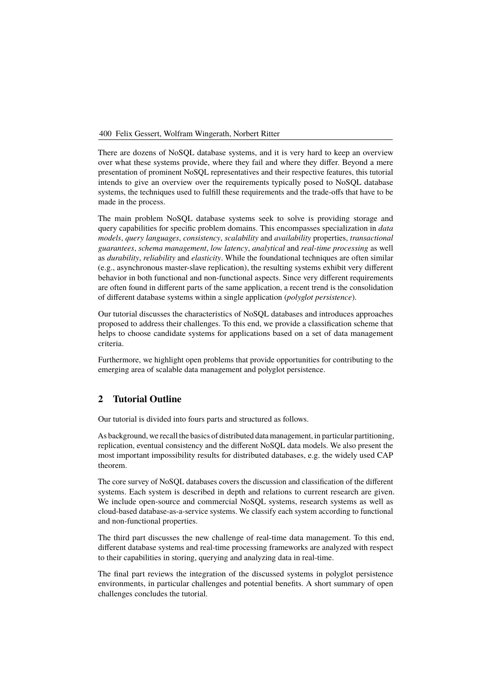There are dozens of NoSQL database systems, and it is very hard to keep an overview over what these systems provide, where they fail and where they differ. Beyond a mere presentation of prominent NoSQL representatives and their respective features, this tutorial intends to give an overview over the requirements typically posed to NoSQL database systems, the techniques used to fulfill these requirements and the trade-offs that have to be made in the process.

The main problem NoSQL database systems seek to solve is providing storage and query capabilities for specific problem domains. This encompasses specialization in *data models*, *query languages*, *consistency*, *scalability* and *availability* properties, *transactional guarantees*, *schema management*, *low latency*, *analytical* and *real-time processing* as well as *durability*, *reliability* and *elasticity*. While the foundational techniques are often similar  $(e.g.,$  asynchronous master-slave replication), the resulting systems exhibit very different behavior in both functional and non-functional aspects. Since very different requirements are often found in different parts of the same application, a recent trend is the consolidation of different database systems within a single application (*polyglot persistence*).

Our tutorial discusses the characteristics of NoSQL databases and introduces approaches proposed to address their challenges. To this end, we provide a classification scheme that helps to choose candidate systems for applications based on a set of data management criteria.

Furthermore, we highlight open problems that provide opportunities for contributing to the emerging area of scalable data management and polyglot persistence.

# **2 Tutorial Outline**

Our tutorial is divided into fours parts and structured as follows.

As background, we recall the basics of distributed data management, in particular partitioning, replication, eventual consistency and the different NoSQL data models. We also present the most important impossibility results for distributed databases, e.g. the widely used CAP theorem.

The core survey of NoSQL databases covers the discussion and classification of the different systems. Each system is described in depth and relations to current research are given. We include open-source and commercial NoSQL systems, research systems as well as cloud-based database-as-a-service systems. We classify each system according to functional and non-functional properties.

The third part discusses the new challenge of real-time data management. To this end, different database systems and real-time processing frameworks are analyzed with respect to their capabilities in storing, querying and analyzing data in real-time.

The final part reviews the integration of the discussed systems in polyglot persistence environments, in particular challenges and potential benefits. A short summary of open challenges concludes the tutorial.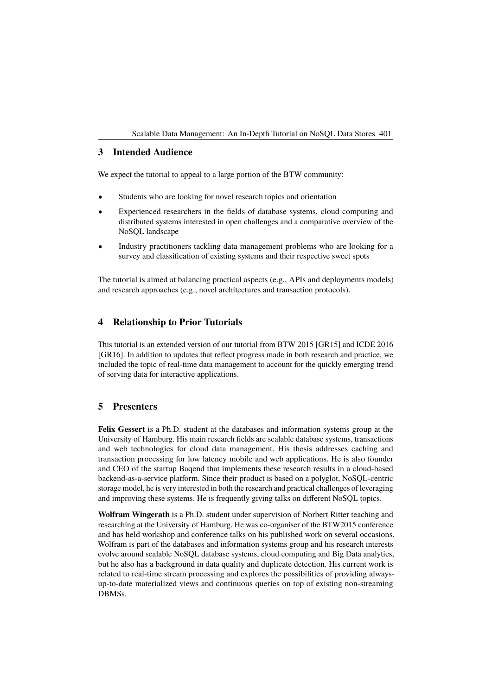### **3 Intended Audience**

We expect the tutorial to appeal to a large portion of the BTW community:

- Students who are looking for novel research topics and orientation
- Experienced researchers in the fields of database systems, cloud computing and distributed systems interested in open challenges and a comparative overview of the NoSQL landscape
- Industry practitioners tackling data management problems who are looking for a survey and classification of existing systems and their respective sweet spots

The tutorial is aimed at balancing practical aspects (e.g., APIs and deployments models) and research approaches (e.g., novel architectures and transaction protocols).

# **4 Relationship to Prior Tutorials**

This tutorial is an extended version of our tutorial from BTW 2015 [\[GR15\]](#page-3-3) and ICDE 2016 [\[GR16\]](#page-3-4). In addition to updates that reflect progress made in both research and practice, we included the topic of real-time data management to account for the quickly emerging trend of serving data for interactive applications.

# **5 Presenters**

**Felix Gessert** is a Ph.D. student at the databases and information systems group at the University of Hamburg. His main research fields are scalable database systems, transactions and web technologies for cloud data management. His thesis addresses caching and transaction processing for low latency mobile and web applications. He is also founder and CEO of the startup Baqend that implements these research results in a cloud-based backend-as-a-service platform. Since their product is based on a polyglot, NoSQL-centric storage model, he is very interested in both the research and practical challenges of leveraging and improving these systems. He is frequently giving talks on different NoSQL topics.

**Wolfram Wingerath** is a Ph.D. student under supervision of Norbert Ritter teaching and researching at the University of Hamburg. He was co-organiser of the BTW2015 conference and has held workshop and conference talks on his published work on several occasions. Wolfram is part of the databases and information systems group and his research interests evolve around scalable NoSQL database systems, cloud computing and Big Data analytics, but he also has a background in data quality and duplicate detection. His current work is related to real-time stream processing and explores the possibilities of providing alwaysup-to-date materialized views and continuous queries on top of existing non-streaming DBMSs.